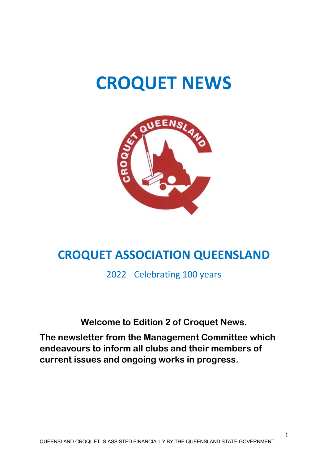# **CROQUET NEWS**



# **CROQUET ASSOCIATION QUEENSLAND**

2022 - Celebrating 100 years

**Welcome to Edition 2 of Croquet News.**

**The newsletter from the Management Committee which endeavours to inform all clubs and their members of current issues and ongoing works in progress.**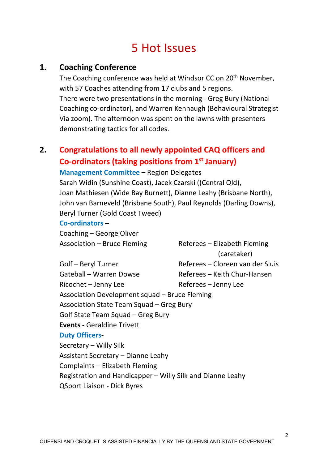# 5 Hot Issues

#### **1. Coaching Conference**

The Coaching conference was held at Windsor CC on 20<sup>th</sup> November, with 57 Coaches attending from 17 clubs and 5 regions. There were two presentations in the morning - Greg Bury (National Coaching co-ordinator), and Warren Kennaugh (Behavioural Strategist Via zoom). The afternoon was spent on the lawns with presenters demonstrating tactics for all codes.

# **2. Congratulations to all newly appointed CAQ officers and Co-ordinators (taking positions from 1st January)**

**Management Committee –** Region Delegates

Sarah Widin (Sunshine Coast), Jacek Czarski ((Central Qld), Joan Mathiesen (Wide Bay Burnett), Dianne Leahy (Brisbane North), John van Barneveld (Brisbane South), Paul Reynolds (Darling Downs), Beryl Turner (Gold Coast Tweed)

#### **Co-ordinators –**

Coaching – George Oliver

Association – Bruce Fleming Referees – Elizabeth Fleming (caretaker) Golf – Beryl Turner Referees – Cloreen van der Sluis

Gateball – Warren Dowse Referees – Keith Chur-Hansen Ricochet – Jenny Lee Referees – Jenny Lee Association Development squad – Bruce Fleming Association State Team Squad – Greg Bury Golf State Team Squad – Greg Bury **Events -** Geraldine Trivett **Duty Officers-**Secretary – Willy Silk Assistant Secretary – Dianne Leahy Complaints – Elizabeth Fleming Registration and Handicapper – Willy Silk and Dianne Leahy

QSport Liaison - Dick Byres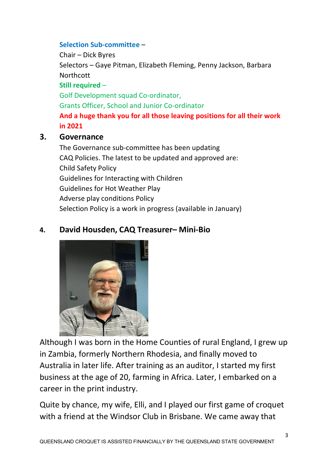#### **Selection Sub-committee** –

Chair – Dick Byres Selectors – Gaye Pitman, Elizabeth Fleming, Penny Jackson, Barbara **Northcott Still required** – Golf Development squad Co-ordinator, Grants Officer, School and Junior Co-ordinator **And a huge thank you for all those leaving positions for all their work in 2021**

#### **3. Governance**

The Governance sub-committee has been updating CAQ Policies. The latest to be updated and approved are: Child Safety Policy Guidelines for Interacting with Children Guidelines for Hot Weather Play Adverse play conditions Policy Selection Policy is a work in progress (available in January)

### **4. David Housden, CAQ Treasurer– Mini-Bio**



Although I was born in the Home Counties of rural England, I grew up in Zambia, formerly Northern Rhodesia, and finally moved to Australia in later life. After training as an auditor, I started my first business at the age of 20, farming in Africa. Later, I embarked on a career in the print industry.

Quite by chance, my wife, Elli, and I played our first game of croquet with a friend at the Windsor Club in Brisbane. We came away that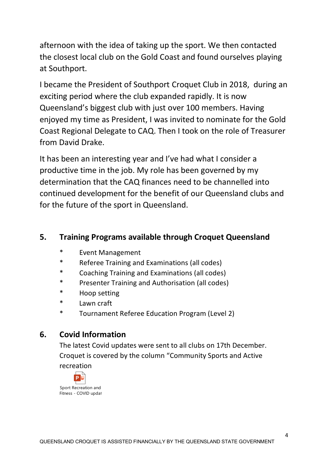afternoon with the idea of taking up the sport. We then contacted the closest local club on the Gold Coast and found ourselves playing at Southport.

I became the President of Southport Croquet Club in 2018, during an exciting period where the club expanded rapidly. It is now Queensland's biggest club with just over 100 members. Having enjoyed my time as President, I was invited to nominate for the Gold Coast Regional Delegate to CAQ. Then I took on the role of Treasurer from David Drake.

It has been an interesting year and I've had what I consider a productive time in the job. My role has been governed by my determination that the CAQ finances need to be channelled into continued development for the benefit of our Queensland clubs and for the future of the sport in Queensland.

### **5. Training Programs available through Croquet Queensland**

- \* Event Management
- Referee Training and Examinations (all codes)
- \* Coaching Training and Examinations (all codes)
- Presenter Training and Authorisation (all codes)
- \* Hoop setting
- \* Lawn craft
- \* Tournament Referee Education Program (Level 2)

### **6. Covid Information**

The latest Covid updates were sent to all clubs on 17th December. Croquet is covered by the column "Community Sports and Active recreation

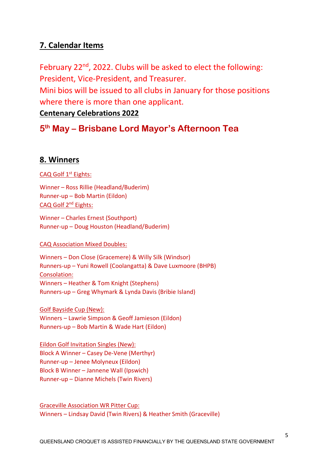### **7. Calendar Items**

February 22<sup>nd</sup>, 2022. Clubs will be asked to elect the following: President, Vice-President, and Treasurer. Mini bios will be issued to all clubs in January for those positions where there is more than one applicant.

#### **Centenary Celebrations 2022**

# **5th May – Brisbane Lord Mayor's Afternoon Tea**

#### **8. Winners**

#### CAQ Golf 1<sup>st</sup> Eights:

Winner – Ross Rillie (Headland/Buderim) Runner-up – Bob Martin (Eildon) CAQ Golf 2nd Eights:

Winner – Charles Ernest (Southport) Runner-up – Doug Houston (Headland/Buderim)

#### CAQ Association Mixed Doubles:

Winners – Don Close (Gracemere) & Willy Silk (Windsor) Runners-up – Yuni Rowell (Coolangatta) & Dave Luxmoore (BHPB) Consolation: Winners – Heather & Tom Knight (Stephens) Runners-up – Greg Whymark & Lynda Davis (Bribie Island)

Golf Bayside Cup (New): Winners – Lawrie Simpson & Geoff Jamieson (Eildon) Runners-up – Bob Martin & Wade Hart (Eildon)

Eildon Golf Invitation Singles (New): Block A Winner – Casey De-Vene (Merthyr) Runner-up – Jenee Molyneux (Eildon) Block B Winner – Jannene Wall (Ipswich) Runner-up – Dianne Michels (Twin Rivers)

Graceville Association WR Pitter Cup: Winners – Lindsay David (Twin Rivers) & Heather Smith (Graceville)